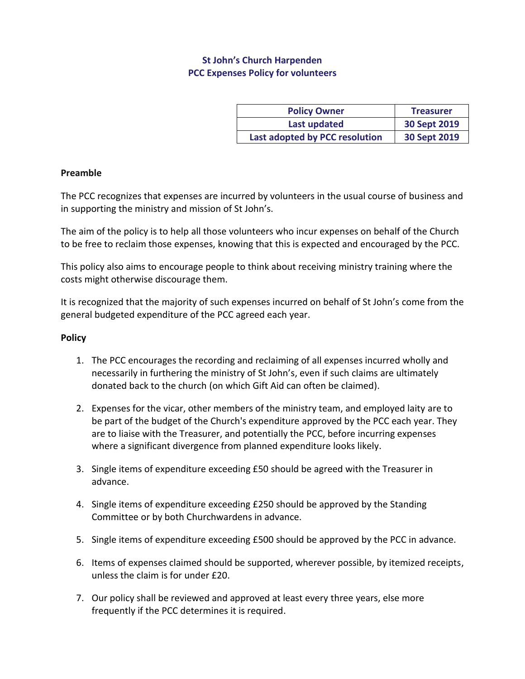# **St John's Church Harpenden PCC Expenses Policy for volunteers**

| <b>Policy Owner</b>            | <b>Treasurer</b> |
|--------------------------------|------------------|
| Last updated                   | 30 Sept 2019     |
| Last adopted by PCC resolution | 30 Sept 2019     |

### **Preamble**

The PCC recognizes that expenses are incurred by volunteers in the usual course of business and in supporting the ministry and mission of St John's.

The aim of the policy is to help all those volunteers who incur expenses on behalf of the Church to be free to reclaim those expenses, knowing that this is expected and encouraged by the PCC.

This policy also aims to encourage people to think about receiving ministry training where the costs might otherwise discourage them.

It is recognized that the majority of such expenses incurred on behalf of St John's come from the general budgeted expenditure of the PCC agreed each year.

#### **Policy**

- 1. The PCC encourages the recording and reclaiming of all expenses incurred wholly and necessarily in furthering the ministry of St John's, even if such claims are ultimately donated back to the church (on which Gift Aid can often be claimed).
- 2. Expenses for the vicar, other members of the ministry team, and employed laity are to be part of the budget of the Church's expenditure approved by the PCC each year. They are to liaise with the Treasurer, and potentially the PCC, before incurring expenses where a significant divergence from planned expenditure looks likely.
- 3. Single items of expenditure exceeding £50 should be agreed with the Treasurer in advance.
- 4. Single items of expenditure exceeding £250 should be approved by the Standing Committee or by both Churchwardens in advance.
- 5. Single items of expenditure exceeding £500 should be approved by the PCC in advance.
- 6. Items of expenses claimed should be supported, wherever possible, by itemized receipts, unless the claim is for under £20.
- 7. Our policy shall be reviewed and approved at least every three years, else more frequently if the PCC determines it is required.